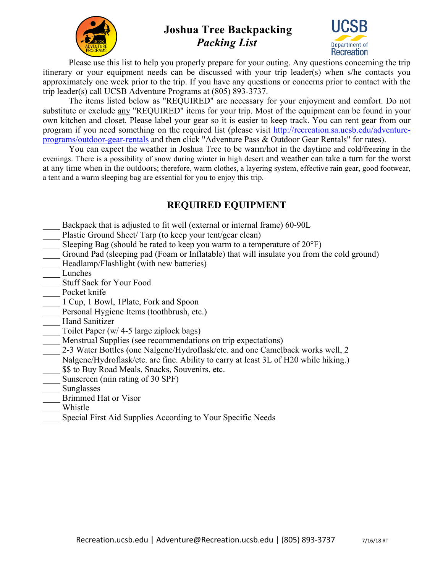

# **Joshua Tree Backpacking** *Packing List*



Please use this list to help you properly prepare for your outing. Any questions concerning the trip itinerary or your equipment needs can be discussed with your trip leader(s) when s/he contacts you approximately one week prior to the trip. If you have any questions or concerns prior to contact with the trip leader(s) call UCSB Adventure Programs at (805) 893-3737.

The items listed below as "REQUIRED" are necessary for your enjoyment and comfort. Do not substitute or exclude any "REQUIRED" items for your trip. Most of the equipment can be found in your own kitchen and closet. Please label your gear so it is easier to keep track. You can rent gear from our program if you need something on the required list (please visit http://recreation.sa.ucsb.edu/adventureprograms/outdoor-gear-rentals and then click "Adventure Pass & Outdoor Gear Rentals" for rates).

You can expect the weather in Joshua Tree to be warm/hot in the daytime and cold/freezing in the evenings. There is a possibility of snow during winter in high desert and weather can take a turn for the worst at any time when in the outdoors; therefore, warm clothes, a layering system, effective rain gear, good footwear, a tent and a warm sleeping bag are essential for you to enjoy this trip.

## **REQUIRED EQUIPMENT**

- Backpack that is adjusted to fit well (external or internal frame) 60-90L
- Plastic Ground Sheet/ Tarp (to keep your tent/gear clean)
- Sleeping Bag (should be rated to keep you warm to a temperature of  $20^{\circ}$ F)
- \_\_\_\_ Ground Pad (sleeping pad (Foam or Inflatable) that will insulate you from the cold ground)
- Headlamp/Flashlight (with new batteries)
- \_\_\_\_ Lunches
- \_\_\_\_ Stuff Sack for Your Food
- Pocket knife
- \_\_\_\_ 1 Cup, 1 Bowl, 1Plate, Fork and Spoon
- Personal Hygiene Items (toothbrush, etc.)
- Hand Sanitizer
- Toilet Paper (w/ 4-5 large ziplock bags)
- Menstrual Supplies (see recommendations on trip expectations)
- 2-3 Water Bottles (one Nalgene/Hydroflask/etc. and one Camelback works well, 2
- Nalgene/Hydroflask/etc. are fine. Ability to carry at least 3L of H20 while hiking.)
- $$$  to Buy Road Meals, Snacks, Souvenirs, etc.
- Sunscreen (min rating of 30 SPF)
- \_\_\_\_ Sunglasses
- \_\_\_\_ Brimmed Hat or Visor
- \_\_\_\_ Whistle
- Special First Aid Supplies According to Your Specific Needs